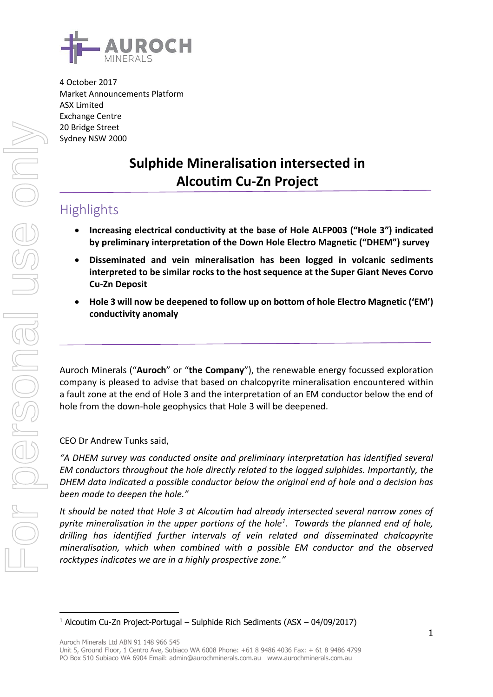

4 October 2017 Market Announcements Platform ASX Limited Exchange Centre 20 Bridge Street Sydney NSW 2000

# **Sulphide Mineralisation intersected in Alcoutim Cu-Zn Project**

## **Highlights**

- **Increasing electrical conductivity at the base of Hole ALFP003 ("Hole 3") indicated by preliminary interpretation of the Down Hole Electro Magnetic ("DHEM") survey**
- **Disseminated and vein mineralisation has been logged in volcanic sediments interpreted to be similar rocks to the host sequence at the Super Giant Neves Corvo Cu-Zn Deposit**
- **Hole 3 will now be deepened to follow up on bottom of hole Electro Magnetic ('EM') conductivity anomaly**

Auroch Minerals ("**Auroch**" or "**the Company**"), the renewable energy focussed exploration company is pleased to advise that based on chalcopyrite mineralisation encountered within a fault zone at the end of Hole 3 and the interpretation of an EM conductor below the end of hole from the down-hole geophysics that Hole 3 will be deepened.

CEO Dr Andrew Tunks said,

*"A DHEM survey was conducted onsite and preliminary interpretation has identified several EM conductors throughout the hole directly related to the logged sulphides. Importantly, the DHEM data indicated a possible conductor below the original end of hole and a decision has been made to deepen the hole."*

*It should be noted that Hole 3 at Alcoutim had already intersected several narrow zones of pyrite mineralisation in the upper portions of the hole<sup>1</sup> . Towards the planned end of hole, drilling has identified further intervals of vein related and disseminated chalcopyrite mineralisation, which when combined with a possible EM conductor and the observed rocktypes indicates we are in a highly prospective zone."*

<sup>-</sup><sup>1</sup> Alcoutim Cu-Zn Project-Portugal – Sulphide Rich Sediments (ASX – 04/09/2017)

Unit 5, Ground Floor, 1 Centro Ave, Subiaco WA 6008 Phone: +61 8 9486 4036 Fax: + 61 8 9486 4799 PO Box 510 Subiaco WA 6904 Email: admin@aurochminerals.com.au www.aurochminerals.com.au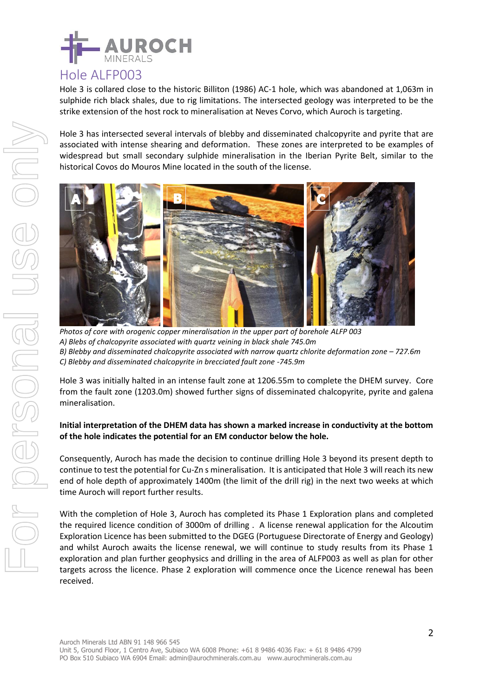

### Hole ALFP003

Hole 3 is collared close to the historic Billiton (1986) AC-1 hole, which was abandoned at 1,063m in sulphide rich black shales, due to rig limitations. The intersected geology was interpreted to be the strike extension of the host rock to mineralisation at Neves Corvo, which Auroch is targeting.

Hole 3 has intersected several intervals of blebby and disseminated chalcopyrite and pyrite that are associated with intense shearing and deformation. These zones are interpreted to be examples of widespread but small secondary sulphide mineralisation in the Iberian Pyrite Belt, similar to the historical Covos do Mouros Mine located in the south of the license.



*Photos of core with orogenic copper mineralisation in the upper part of borehole ALFP 003 A) Blebs of chalcopyrite associated with quartz veining in black shale 745.0m B) Blebby and disseminated chalcopyrite associated with narrow quartz chlorite deformation zone – 727.6m C) Blebby and disseminated chalcopyrite in brecciated fault zone -745.9m*

Hole 3 was initially halted in an intense fault zone at 1206.55m to complete the DHEM survey. Core from the fault zone (1203.0m) showed further signs of disseminated chalcopyrite, pyrite and galena mineralisation.

#### **Initial interpretation of the DHEM data has shown a marked increase in conductivity at the bottom of the hole indicates the potential for an EM conductor below the hole.**

Consequently, Auroch has made the decision to continue drilling Hole 3 beyond its present depth to continue to test the potential for Cu-Zn s mineralisation. It is anticipated that Hole 3 will reach its new end of hole depth of approximately 1400m (the limit of the drill rig) in the next two weeks at which time Auroch will report further results.

With the completion of Hole 3, Auroch has completed its Phase 1 Exploration plans and completed the required licence condition of 3000m of drilling . A license renewal application for the Alcoutim Exploration Licence has been submitted to the DGEG (Portuguese Directorate of Energy and Geology) and whilst Auroch awaits the license renewal, we will continue to study results from its Phase 1 exploration and plan further geophysics and drilling in the area of ALFP003 as well as plan for other targets across the licence. Phase 2 exploration will commence once the Licence renewal has been received.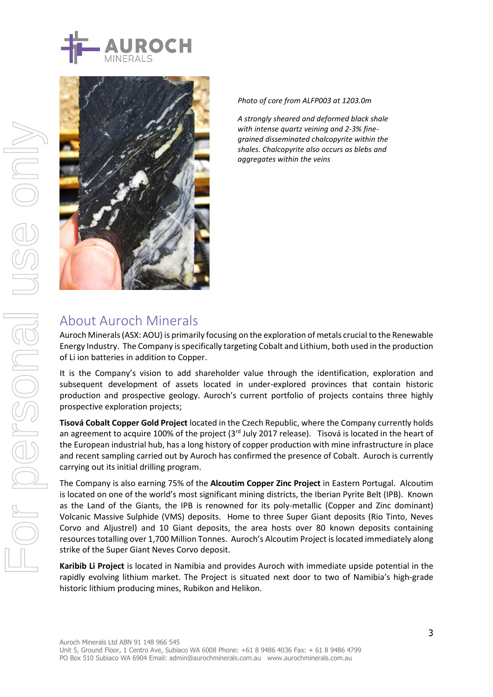



*Photo of core from ALFP003 at 1203.0m*

*A strongly sheared and deformed black shale with intense quartz veining and 2-3% finegrained disseminated chalcopyrite within the shales. Chalcopyrite also occurs as blebs and aggregates within the veins*

### About Auroch Minerals

Auroch Minerals (ASX: AOU) is primarily focusing on the exploration of metals crucial to the Renewable Energy Industry. The Company is specifically targeting Cobalt and Lithium, both used in the production of Li ion batteries in addition to Copper.

It is the Company's vision to add shareholder value through the identification, exploration and subsequent development of assets located in under-explored provinces that contain historic production and prospective geology. Auroch's current portfolio of projects contains three highly prospective exploration projects;

**Tisová Cobalt Copper Gold Project** located in the Czech Republic, where the Company currently holds an agreement to acquire 100% of the project (3<sup>rd</sup> July 2017 release). Tisová is located in the heart of the European industrial hub, has a long history of copper production with mine infrastructure in place and recent sampling carried out by Auroch has confirmed the presence of Cobalt. Auroch is currently carrying out its initial drilling program.

The Company is also earning 75% of the **Alcoutim Copper Zinc Project** in Eastern Portugal. Alcoutim is located on one of the world's most significant mining districts, the Iberian Pyrite Belt (IPB). Known as the Land of the Giants, the IPB is renowned for its poly-metallic (Copper and Zinc dominant) Volcanic Massive Sulphide (VMS) deposits. Home to three Super Giant deposits (Rio Tinto, Neves Corvo and Aljustrel) and 10 Giant deposits, the area hosts over 80 known deposits containing resources totalling over 1,700 Million Tonnes. Auroch's Alcoutim Project is located immediately along strike of the Super Giant Neves Corvo deposit.

**Karibib Li Project** is located in Namibia and provides Auroch with immediate upside potential in the rapidly evolving lithium market. The Project is situated next door to two of Namibia's high-grade historic lithium producing mines, Rubikon and Helikon.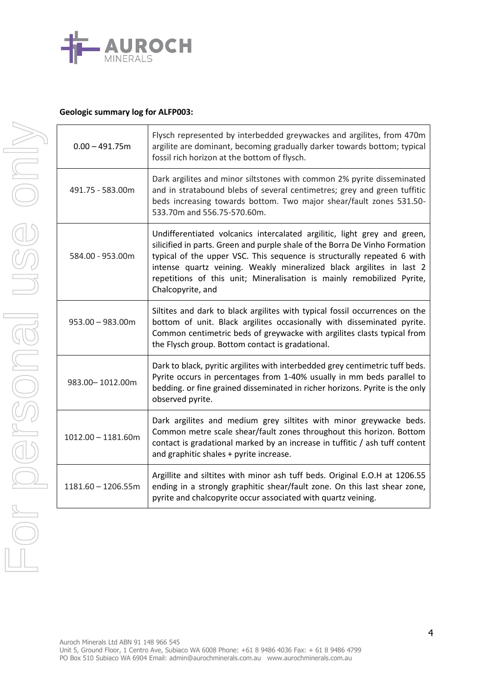

#### **Geologic summary log for ALFP003:**

For personal use only

Dr personal use only

| $0.00 - 491.75m$     | Flysch represented by interbedded greywackes and argilites, from 470m<br>argilite are dominant, becoming gradually darker towards bottom; typical<br>fossil rich horizon at the bottom of flysch.                                                                                                                                                                                                         |
|----------------------|-----------------------------------------------------------------------------------------------------------------------------------------------------------------------------------------------------------------------------------------------------------------------------------------------------------------------------------------------------------------------------------------------------------|
| 491.75 - 583.00m     | Dark argilites and minor siltstones with common 2% pyrite disseminated<br>and in stratabound blebs of several centimetres; grey and green tuffitic<br>beds increasing towards bottom. Two major shear/fault zones 531.50-<br>533.70m and 556.75-570.60m.                                                                                                                                                  |
| 584.00 - 953.00m     | Undifferentiated volcanics intercalated argilitic, light grey and green,<br>silicified in parts. Green and purple shale of the Borra De Vinho Formation<br>typical of the upper VSC. This sequence is structurally repeated 6 with<br>intense quartz veining. Weakly mineralized black argilites in last 2<br>repetitions of this unit; Mineralisation is mainly remobilized Pyrite,<br>Chalcopyrite, and |
| $953.00 - 983.00m$   | Siltites and dark to black argilites with typical fossil occurrences on the<br>bottom of unit. Black argilites occasionally with disseminated pyrite.<br>Common centimetric beds of greywacke with argilites clasts typical from<br>the Flysch group. Bottom contact is gradational.                                                                                                                      |
| 983.00-1012.00m      | Dark to black, pyritic argilites with interbedded grey centimetric tuff beds.<br>Pyrite occurs in percentages from 1-40% usually in mm beds parallel to<br>bedding. or fine grained disseminated in richer horizons. Pyrite is the only<br>observed pyrite.                                                                                                                                               |
| $1012.00 - 1181.60m$ | Dark argilites and medium grey siltites with minor greywacke beds.<br>Common metre scale shear/fault zones throughout this horizon. Bottom<br>contact is gradational marked by an increase in tuffitic / ash tuff content<br>and graphitic shales + pyrite increase.                                                                                                                                      |
| $1181.60 - 1206.55m$ | Argillite and siltites with minor ash tuff beds. Original E.O.H at 1206.55<br>ending in a strongly graphitic shear/fault zone. On this last shear zone,<br>pyrite and chalcopyrite occur associated with quartz veining.                                                                                                                                                                                  |